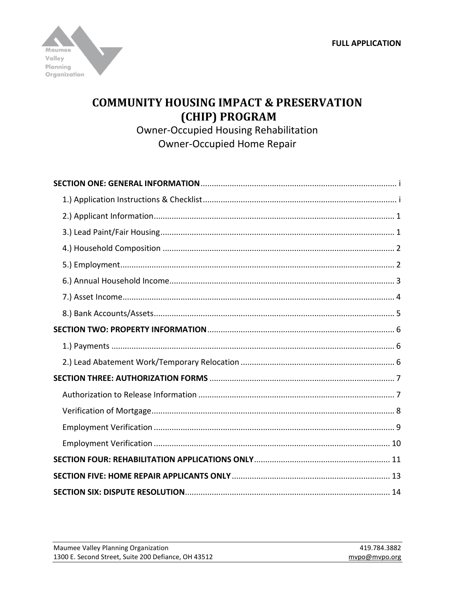

# **COMMUNITY HOUSING IMPACT & PRESERVATION** (CHIP) PROGRAM

**Owner-Occupied Housing Rehabilitation Owner-Occupied Home Repair**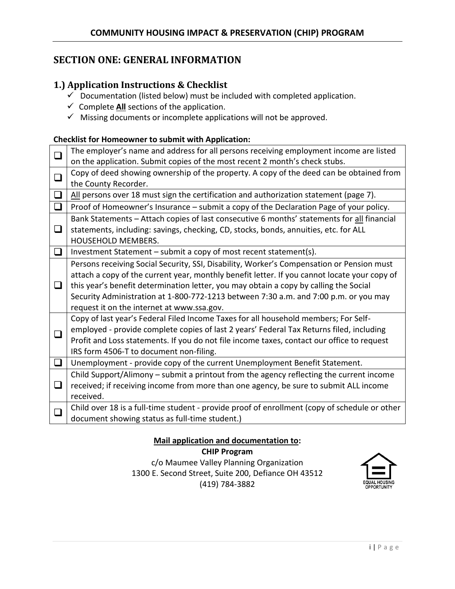# <span id="page-1-0"></span>**SECTION ONE: GENERAL INFORMATION**

## <span id="page-1-1"></span>**1.) Application Instructions & Checklist**

- $\checkmark$  Documentation (listed below) must be included with completed application.
- $\checkmark$  Complete All sections of the application.
- $\checkmark$  Missing documents or incomplete applications will not be approved.

### **Checklist for Homeowner to submit with Application:**

| $\Box$ | The employer's name and address for all persons receiving employment income are listed        |
|--------|-----------------------------------------------------------------------------------------------|
|        | on the application. Submit copies of the most recent 2 month's check stubs.                   |
| $\Box$ | Copy of deed showing ownership of the property. A copy of the deed can be obtained from       |
|        | the County Recorder.                                                                          |
| $\Box$ | All persons over 18 must sign the certification and authorization statement (page 7).         |
| $\Box$ | Proof of Homeowner's Insurance - submit a copy of the Declaration Page of your policy.        |
|        | Bank Statements - Attach copies of last consecutive 6 months' statements for all financial    |
| $\Box$ | statements, including: savings, checking, CD, stocks, bonds, annuities, etc. for ALL          |
|        | <b>HOUSEHOLD MEMBERS.</b>                                                                     |
| ❏      | Investment Statement - submit a copy of most recent statement(s).                             |
|        | Persons receiving Social Security, SSI, Disability, Worker's Compensation or Pension must     |
|        | attach a copy of the current year, monthly benefit letter. If you cannot locate your copy of  |
| $\Box$ | this year's benefit determination letter, you may obtain a copy by calling the Social         |
|        | Security Administration at 1-800-772-1213 between 7:30 a.m. and 7:00 p.m. or you may          |
|        | request it on the internet at www.ssa.gov.                                                    |
|        | Copy of last year's Federal Filed Income Taxes for all household members; For Self-           |
| $\Box$ | employed - provide complete copies of last 2 years' Federal Tax Returns filed, including      |
|        | Profit and Loss statements. If you do not file income taxes, contact our office to request    |
|        | IRS form 4506-T to document non-filing.                                                       |
| $\Box$ | Unemployment - provide copy of the current Unemployment Benefit Statement.                    |
|        | Child Support/Alimony - submit a printout from the agency reflecting the current income       |
| $\Box$ | received; if receiving income from more than one agency, be sure to submit ALL income         |
|        | received.                                                                                     |
| $\Box$ | Child over 18 is a full-time student - provide proof of enrollment (copy of schedule or other |
|        | document showing status as full-time student.)                                                |

**Mail application and documentation to:**

**CHIP Program** c/o Maumee Valley Planning Organization 1300 E. Second Street, Suite 200, Defiance OH 43512 (419) 784-3882

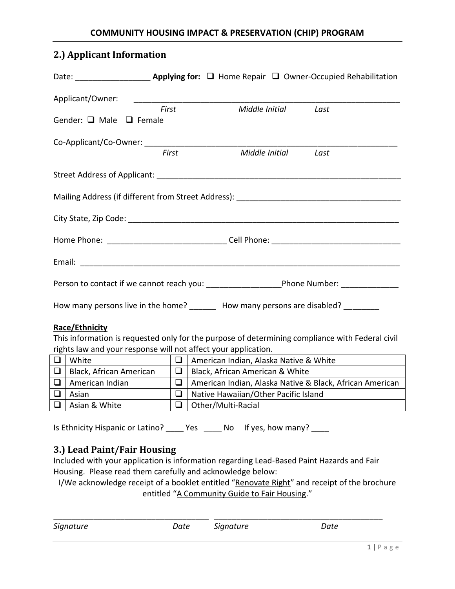# <span id="page-2-0"></span>**2.) Applicant Information**

| Applicant/Owner:                  |       |                                                                            |                     |                                                                                                 |
|-----------------------------------|-------|----------------------------------------------------------------------------|---------------------|-------------------------------------------------------------------------------------------------|
|                                   | First |                                                                            | Middle Initial Last |                                                                                                 |
| Gender: $\Box$ Male $\Box$ Female |       |                                                                            |                     |                                                                                                 |
|                                   |       |                                                                            |                     |                                                                                                 |
|                                   | First |                                                                            | Middle Initial      | Last                                                                                            |
|                                   |       |                                                                            |                     |                                                                                                 |
|                                   |       |                                                                            |                     |                                                                                                 |
|                                   |       |                                                                            |                     |                                                                                                 |
|                                   |       |                                                                            |                     |                                                                                                 |
|                                   |       |                                                                            |                     |                                                                                                 |
|                                   |       |                                                                            |                     |                                                                                                 |
|                                   |       | How many persons live in the home? How many persons are disabled? ________ |                     |                                                                                                 |
| Race/Ethnicity                    |       |                                                                            |                     |                                                                                                 |
|                                   |       |                                                                            |                     | This information is requested only for the purpose of determining compliance with Federal civil |
|                                   |       | rights law and your response will not affect your application.             |                     |                                                                                                 |
| $\Box$ White                      |       |                                                                            |                     |                                                                                                 |
|                                   |       | R Plack African American R Plack African American & White                  |                     |                                                                                                 |

|        | Black, African American |        | Black, African American & White                          |
|--------|-------------------------|--------|----------------------------------------------------------|
| $\Box$ | American Indian         |        | American Indian, Alaska Native & Black, African American |
|        | Asian                   | $\Box$ | Native Hawaiian/Other Pacific Island                     |
|        | $\Box$   Asian & White  |        | $\Box$   Other/Multi-Racial                              |

Is Ethnicity Hispanic or Latino? \_\_\_\_\_ Yes \_\_\_\_\_ No If yes, how many? \_\_\_\_

# <span id="page-2-1"></span>**3.) Lead Paint/Fair Housing**

Included with your application is information regarding Lead-Based Paint Hazards and Fair Housing. Please read them carefully and acknowledge below:

I/We acknowledge receipt of a booklet entitled "Renovate Right" and receipt of the brochure entitled "A Community Guide to Fair Housing."

| Date | Signature | Date |  |
|------|-----------|------|--|
|      |           |      |  |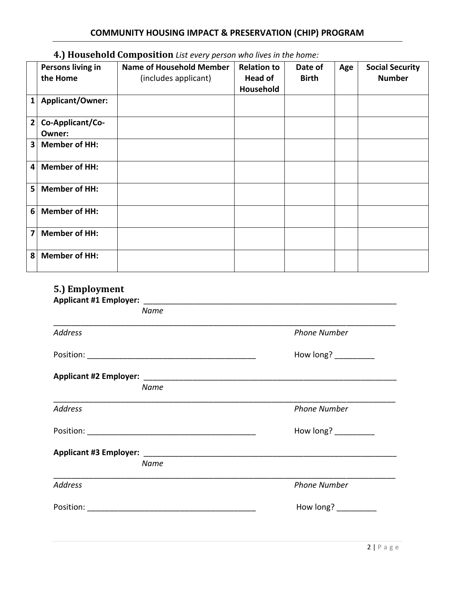# <span id="page-3-0"></span>**4.) Household Composition** *List every person who lives in the home:*

|                | Persons living in<br>the Home | <b>Name of Household Member</b><br>(includes applicant) | <b>Relation to</b><br><b>Head of</b><br>Household | Date of<br><b>Birth</b> | Age | <b>Social Security</b><br><b>Number</b> |
|----------------|-------------------------------|---------------------------------------------------------|---------------------------------------------------|-------------------------|-----|-----------------------------------------|
| $\mathbf{1}$   | Applicant/Owner:              |                                                         |                                                   |                         |     |                                         |
| $\mathbf{2}$   | Co-Applicant/Co-<br>Owner:    |                                                         |                                                   |                         |     |                                         |
| 3              | <b>Member of HH:</b>          |                                                         |                                                   |                         |     |                                         |
| 4              | <b>Member of HH:</b>          |                                                         |                                                   |                         |     |                                         |
| 5              | <b>Member of HH:</b>          |                                                         |                                                   |                         |     |                                         |
| 6              | <b>Member of HH:</b>          |                                                         |                                                   |                         |     |                                         |
| $\overline{7}$ | <b>Member of HH:</b>          |                                                         |                                                   |                         |     |                                         |
| 8              | <b>Member of HH:</b>          |                                                         |                                                   |                         |     |                                         |

# <span id="page-3-1"></span>**5.) Employment**

| <b>Name</b>    |                                                                                                                                                                                                                                                                                                                 |
|----------------|-----------------------------------------------------------------------------------------------------------------------------------------------------------------------------------------------------------------------------------------------------------------------------------------------------------------|
| <b>Address</b> | <b>Phone Number</b>                                                                                                                                                                                                                                                                                             |
|                | How long? $\frac{1}{2}$ $\frac{1}{2}$ $\frac{1}{2}$ $\frac{1}{2}$ $\frac{1}{2}$ $\frac{1}{2}$ $\frac{1}{2}$ $\frac{1}{2}$ $\frac{1}{2}$ $\frac{1}{2}$ $\frac{1}{2}$ $\frac{1}{2}$ $\frac{1}{2}$ $\frac{1}{2}$ $\frac{1}{2}$ $\frac{1}{2}$ $\frac{1}{2}$ $\frac{1}{2}$ $\frac{1}{2}$ $\frac{1}{2}$ $\frac{1}{2}$ |
|                |                                                                                                                                                                                                                                                                                                                 |
| <b>Name</b>    |                                                                                                                                                                                                                                                                                                                 |
| <b>Address</b> | <b>Phone Number</b>                                                                                                                                                                                                                                                                                             |
|                | How long? $\frac{1}{2}$ $\frac{1}{2}$ $\frac{1}{2}$ $\frac{1}{2}$ $\frac{1}{2}$ $\frac{1}{2}$ $\frac{1}{2}$ $\frac{1}{2}$ $\frac{1}{2}$ $\frac{1}{2}$ $\frac{1}{2}$ $\frac{1}{2}$ $\frac{1}{2}$ $\frac{1}{2}$ $\frac{1}{2}$ $\frac{1}{2}$ $\frac{1}{2}$ $\frac{1}{2}$ $\frac{1}{2}$ $\frac{1}{2}$ $\frac{1}{2}$ |
|                |                                                                                                                                                                                                                                                                                                                 |
| Name           |                                                                                                                                                                                                                                                                                                                 |
| <b>Address</b> | <b>Phone Number</b>                                                                                                                                                                                                                                                                                             |
|                | How long?                                                                                                                                                                                                                                                                                                       |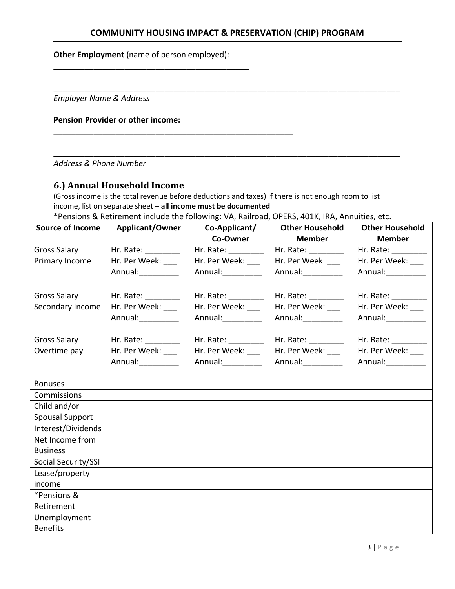## **COMMUNITY HOUSING IMPACT & PRESERVATION (CHIP) PROGRAM**

\_\_\_\_\_\_\_\_\_\_\_\_\_\_\_\_\_\_\_\_\_\_\_\_\_\_\_\_\_\_\_\_\_\_\_\_\_\_\_\_\_\_\_\_\_\_\_\_\_\_\_\_\_\_\_\_\_\_\_\_\_\_\_\_\_\_\_\_\_\_\_\_\_\_\_\_\_\_

\_\_\_\_\_\_\_\_\_\_\_\_\_\_\_\_\_\_\_\_\_\_\_\_\_\_\_\_\_\_\_\_\_\_\_\_\_\_\_\_\_\_\_\_\_\_\_\_\_\_\_\_\_\_\_\_\_\_\_\_\_\_\_\_\_\_\_\_\_\_\_\_\_\_\_\_\_\_

**Other Employment** (name of person employed):

\_\_\_\_\_\_\_\_\_\_\_\_\_\_\_\_\_\_\_\_\_\_\_\_\_\_\_\_\_\_\_\_\_\_\_\_\_\_\_\_\_\_\_\_

\_\_\_\_\_\_\_\_\_\_\_\_\_\_\_\_\_\_\_\_\_\_\_\_\_\_\_\_\_\_\_\_\_\_\_\_\_\_\_\_\_\_\_\_\_\_\_\_\_\_\_\_\_\_

*Employer Name & Address*

#### **Pension Provider or other income:**

*Address & Phone Number*

## <span id="page-4-0"></span>**6.) Annual Household Income**

(Gross income is the total revenue before deductions and taxes) If there is not enough room to list income, list on separate sheet – **all income must be documented**

\*Pensions & Retirement include the following: VA, Railroad, OPERS, 401K, IRA, Annuities, etc.

| <b>Source of Income</b> | <b>Applicant/Owner</b>  | Co-Applicant/           | <b>Other Household</b>                                                                                                                                  | <b>Other Household</b> |
|-------------------------|-------------------------|-------------------------|---------------------------------------------------------------------------------------------------------------------------------------------------------|------------------------|
|                         |                         | Co-Owner                | <b>Member</b>                                                                                                                                           | <b>Member</b>          |
| <b>Gross Salary</b>     | Hr. Rate: The Manager   | Hr. Rate: _________     | Hr. Rate: __________                                                                                                                                    | Hr. Rate: __________   |
| Primary Income          | Hr. Per Week: ___       | Hr. Per Week: ___       | Hr. Per Week: ___                                                                                                                                       | Hr. Per Week: ___      |
|                         | Annual:__________       |                         | Annual: 1997                                                                                                                                            | Annual:                |
|                         |                         |                         |                                                                                                                                                         |                        |
| <b>Gross Salary</b>     | Hr. Rate: _________     | Hr. Rate: ________      | Hr. Rate: _________                                                                                                                                     | Hr. Rate: _________    |
| Secondary Income        | Hr. Per Week:           | Hr. Per Week:           | Hr. Per Week:                                                                                                                                           | Hr. Per Week:          |
|                         | Annual:                 | Annual:__________       | Annual:__________                                                                                                                                       | Annual:___________     |
|                         |                         |                         |                                                                                                                                                         |                        |
| <b>Gross Salary</b>     | Hr. Rate: $\frac{1}{2}$ | Hr. Rate: $\frac{1}{2}$ | Hr. Rate: $\frac{1}{\sqrt{1-\frac{1}{2}} \cdot \frac{1}{\sqrt{1-\frac{1}{2}} \cdot \frac{1}{2}} \cdot \frac{1}{\sqrt{1-\frac{1}{2}} \cdot \frac{1}{2}}$ | Hr. Rate: _________    |
| Overtime pay            | Hr. Per Week: ___       | Hr. Per Week: ___       | Hr. Per Week: ___                                                                                                                                       | Hr. Per Week: ___      |
|                         |                         | Annual: 1997            | Annual: 1997                                                                                                                                            | Annual:                |
|                         |                         |                         |                                                                                                                                                         |                        |
| <b>Bonuses</b>          |                         |                         |                                                                                                                                                         |                        |
| Commissions             |                         |                         |                                                                                                                                                         |                        |
| Child and/or            |                         |                         |                                                                                                                                                         |                        |
| <b>Spousal Support</b>  |                         |                         |                                                                                                                                                         |                        |
| Interest/Dividends      |                         |                         |                                                                                                                                                         |                        |
| Net Income from         |                         |                         |                                                                                                                                                         |                        |
| <b>Business</b>         |                         |                         |                                                                                                                                                         |                        |
| Social Security/SSI     |                         |                         |                                                                                                                                                         |                        |
| Lease/property          |                         |                         |                                                                                                                                                         |                        |
| income                  |                         |                         |                                                                                                                                                         |                        |
| *Pensions &             |                         |                         |                                                                                                                                                         |                        |
| Retirement              |                         |                         |                                                                                                                                                         |                        |
| Unemployment            |                         |                         |                                                                                                                                                         |                        |
| <b>Benefits</b>         |                         |                         |                                                                                                                                                         |                        |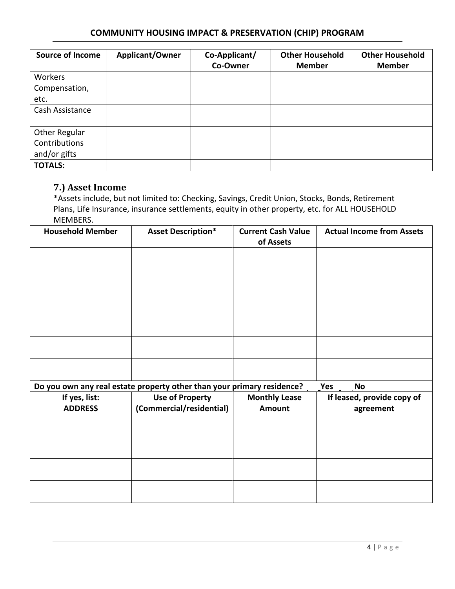## **COMMUNITY HOUSING IMPACT & PRESERVATION (CHIP) PROGRAM**

| <b>Source of Income</b> | Applicant/Owner | Co-Applicant/<br>Co-Owner | <b>Other Household</b><br><b>Member</b> | <b>Other Household</b><br><b>Member</b> |
|-------------------------|-----------------|---------------------------|-----------------------------------------|-----------------------------------------|
| Workers                 |                 |                           |                                         |                                         |
| Compensation,           |                 |                           |                                         |                                         |
| etc.                    |                 |                           |                                         |                                         |
| Cash Assistance         |                 |                           |                                         |                                         |
|                         |                 |                           |                                         |                                         |
| Other Regular           |                 |                           |                                         |                                         |
| Contributions           |                 |                           |                                         |                                         |
| and/or gifts            |                 |                           |                                         |                                         |
| <b>TOTALS:</b>          |                 |                           |                                         |                                         |

# <span id="page-5-0"></span>**7.) Asset Income**

\*Assets include, but not limited to: Checking, Savings, Credit Union, Stocks, Bonds, Retirement Plans, Life Insurance, insurance settlements, equity in other property, etc. for ALL HOUSEHOLD MEMBERS.

| <b>Household Member</b> | <b>Asset Description*</b>                                              | <b>Current Cash Value</b><br>of Assets | <b>Actual Income from Assets</b> |
|-------------------------|------------------------------------------------------------------------|----------------------------------------|----------------------------------|
|                         |                                                                        |                                        |                                  |
|                         |                                                                        |                                        |                                  |
|                         |                                                                        |                                        |                                  |
|                         |                                                                        |                                        |                                  |
|                         |                                                                        |                                        |                                  |
|                         |                                                                        |                                        |                                  |
|                         | Do you own any real estate property other than your primary residence? |                                        | Yes<br><b>No</b>                 |
| If yes, list:           | <b>Use of Property</b>                                                 | <b>Monthly Lease</b>                   | If leased, provide copy of       |
| <b>ADDRESS</b>          | (Commercial/residential)                                               | <b>Amount</b>                          | agreement                        |
|                         |                                                                        |                                        |                                  |
|                         |                                                                        |                                        |                                  |
|                         |                                                                        |                                        |                                  |
|                         |                                                                        |                                        |                                  |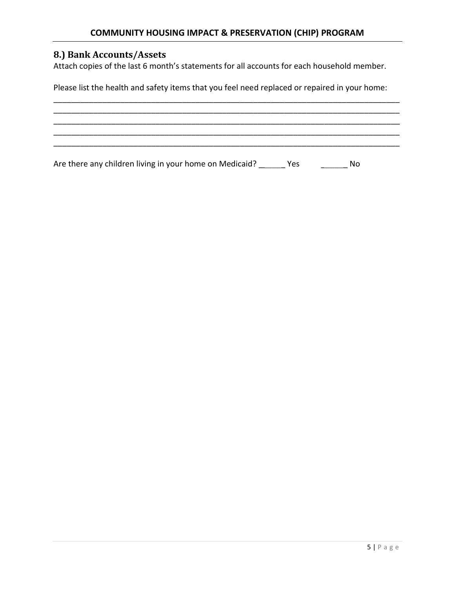# <span id="page-6-0"></span>**8.) Bank Accounts/Assets**

Attach copies of the last 6 month's statements for all accounts for each household member.

Please list the health and safety items that you feel need replaced or repaired in your home:

\_\_\_\_\_\_\_\_\_\_\_\_\_\_\_\_\_\_\_\_\_\_\_\_\_\_\_\_\_\_\_\_\_\_\_\_\_\_\_\_\_\_\_\_\_\_\_\_\_\_\_\_\_\_\_\_\_\_\_\_\_\_\_\_\_\_\_\_\_\_\_\_\_\_\_\_\_\_ \_\_\_\_\_\_\_\_\_\_\_\_\_\_\_\_\_\_\_\_\_\_\_\_\_\_\_\_\_\_\_\_\_\_\_\_\_\_\_\_\_\_\_\_\_\_\_\_\_\_\_\_\_\_\_\_\_\_\_\_\_\_\_\_\_\_\_\_\_\_\_\_\_\_\_\_\_\_ \_\_\_\_\_\_\_\_\_\_\_\_\_\_\_\_\_\_\_\_\_\_\_\_\_\_\_\_\_\_\_\_\_\_\_\_\_\_\_\_\_\_\_\_\_\_\_\_\_\_\_\_\_\_\_\_\_\_\_\_\_\_\_\_\_\_\_\_\_\_\_\_\_\_\_\_\_\_ \_\_\_\_\_\_\_\_\_\_\_\_\_\_\_\_\_\_\_\_\_\_\_\_\_\_\_\_\_\_\_\_\_\_\_\_\_\_\_\_\_\_\_\_\_\_\_\_\_\_\_\_\_\_\_\_\_\_\_\_\_\_\_\_\_\_\_\_\_\_\_\_\_\_\_\_\_\_ \_\_\_\_\_\_\_\_\_\_\_\_\_\_\_\_\_\_\_\_\_\_\_\_\_\_\_\_\_\_\_\_\_\_\_\_\_\_\_\_\_\_\_\_\_\_\_\_\_\_\_\_\_\_\_\_\_\_\_\_\_\_\_\_\_\_\_\_\_\_\_\_\_\_\_\_\_\_

Are there any children living in your home on Medicaid? \_\_\_\_\_\_ Yes \_\_\_\_\_\_\_\_\_ No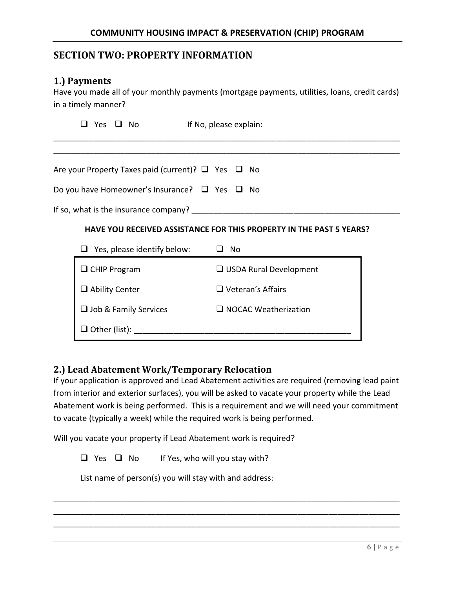# <span id="page-7-0"></span>**SECTION TWO: PROPERTY INFORMATION**

### <span id="page-7-1"></span>**1.) Payments**

Have you made all of your monthly payments (mortgage payments, utilities, loans, credit cards) in a timely manner?

| Yes                   | ⊍ No |                                                                     | If No, please explain: |           |                          |                             |  |  |
|-----------------------|------|---------------------------------------------------------------------|------------------------|-----------|--------------------------|-----------------------------|--|--|
|                       |      |                                                                     |                        |           |                          |                             |  |  |
|                       |      | Are your Property Taxes paid (current)? $\Box$ Yes $\Box$ No        |                        |           |                          |                             |  |  |
|                       |      | Do you have Homeowner's Insurance? $\Box$ Yes $\Box$ No             |                        |           |                          |                             |  |  |
|                       |      | If so, what is the insurance company?                               |                        |           |                          |                             |  |  |
|                       |      | HAVE YOU RECEIVED ASSISTANCE FOR THIS PROPERTY IN THE PAST 5 YEARS? |                        |           |                          |                             |  |  |
|                       |      | $\Box$ Yes, please identify below:                                  |                        | $\Box$ No |                          |                             |  |  |
| $\Box$ CHIP Program   |      |                                                                     |                        |           |                          | USDA Rural Development      |  |  |
| $\Box$ Ability Center |      |                                                                     |                        |           | $\Box$ Veteran's Affairs |                             |  |  |
|                       |      | $\Box$ Job & Family Services                                        |                        |           |                          | $\Box$ NOCAC Weatherization |  |  |
| $\Box$ Other (list):  |      |                                                                     |                        |           |                          |                             |  |  |

## <span id="page-7-2"></span>**2.) Lead Abatement Work/Temporary Relocation**

If your application is approved and Lead Abatement activities are required (removing lead paint from interior and exterior surfaces), you will be asked to vacate your property while the Lead Abatement work is being performed. This is a requirement and we will need your commitment to vacate (typically a week) while the required work is being performed.

\_\_\_\_\_\_\_\_\_\_\_\_\_\_\_\_\_\_\_\_\_\_\_\_\_\_\_\_\_\_\_\_\_\_\_\_\_\_\_\_\_\_\_\_\_\_\_\_\_\_\_\_\_\_\_\_\_\_\_\_\_\_\_\_\_\_\_\_\_\_\_\_\_\_\_\_\_\_ \_\_\_\_\_\_\_\_\_\_\_\_\_\_\_\_\_\_\_\_\_\_\_\_\_\_\_\_\_\_\_\_\_\_\_\_\_\_\_\_\_\_\_\_\_\_\_\_\_\_\_\_\_\_\_\_\_\_\_\_\_\_\_\_\_\_\_\_\_\_\_\_\_\_\_\_\_\_ \_\_\_\_\_\_\_\_\_\_\_\_\_\_\_\_\_\_\_\_\_\_\_\_\_\_\_\_\_\_\_\_\_\_\_\_\_\_\_\_\_\_\_\_\_\_\_\_\_\_\_\_\_\_\_\_\_\_\_\_\_\_\_\_\_\_\_\_\_\_\_\_\_\_\_\_\_\_

Will you vacate your property if Lead Abatement work is required?

 $\Box$  Yes  $\Box$  No If Yes, who will you stay with?

List name of person(s) you will stay with and address: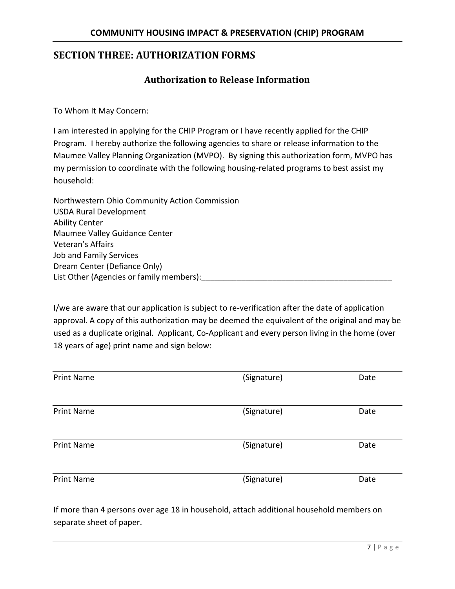# <span id="page-8-1"></span><span id="page-8-0"></span>**SECTION THREE: AUTHORIZATION FORMS**

## **Authorization to Release Information**

To Whom It May Concern:

I am interested in applying for the CHIP Program or I have recently applied for the CHIP Program. I hereby authorize the following agencies to share or release information to the Maumee Valley Planning Organization (MVPO). By signing this authorization form, MVPO has my permission to coordinate with the following housing-related programs to best assist my household:

Northwestern Ohio Community Action Commission USDA Rural Development Ability Center Maumee Valley Guidance Center Veteran's Affairs Job and Family Services Dream Center (Defiance Only) List Other (Agencies or family members):

I/we are aware that our application is subject to re-verification after the date of application approval. A copy of this authorization may be deemed the equivalent of the original and may be used as a duplicate original. Applicant, Co-Applicant and every person living in the home (over 18 years of age) print name and sign below:

| <b>Print Name</b> | (Signature) | Date |
|-------------------|-------------|------|
| <b>Print Name</b> | (Signature) | Date |
| <b>Print Name</b> | (Signature) | Date |
| <b>Print Name</b> | (Signature) | Date |

If more than 4 persons over age 18 in household, attach additional household members on separate sheet of paper.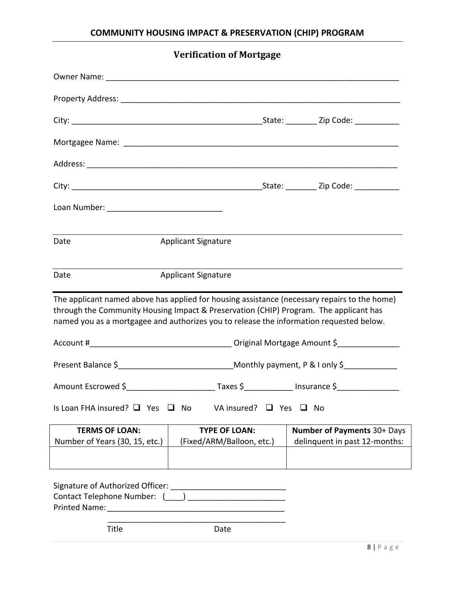<span id="page-9-0"></span>

| <b>Verification of Mortgage</b>                                                                                                                                                                                                                                                  |                            |                                                         |
|----------------------------------------------------------------------------------------------------------------------------------------------------------------------------------------------------------------------------------------------------------------------------------|----------------------------|---------------------------------------------------------|
|                                                                                                                                                                                                                                                                                  |                            |                                                         |
|                                                                                                                                                                                                                                                                                  |                            |                                                         |
|                                                                                                                                                                                                                                                                                  |                            |                                                         |
|                                                                                                                                                                                                                                                                                  |                            |                                                         |
|                                                                                                                                                                                                                                                                                  |                            |                                                         |
|                                                                                                                                                                                                                                                                                  |                            |                                                         |
|                                                                                                                                                                                                                                                                                  |                            |                                                         |
|                                                                                                                                                                                                                                                                                  |                            |                                                         |
| Date                                                                                                                                                                                                                                                                             | <b>Applicant Signature</b> |                                                         |
| Date                                                                                                                                                                                                                                                                             | <b>Applicant Signature</b> |                                                         |
| The applicant named above has applied for housing assistance (necessary repairs to the home)<br>through the Community Housing Impact & Preservation (CHIP) Program. The applicant has<br>named you as a mortgagee and authorizes you to release the information requested below. |                            |                                                         |
| Present Balance \$_________________________________Monthly payment, P & I only \$______________                                                                                                                                                                                  |                            |                                                         |
| Amount Escrowed \$                                                                                                                                                                                                                                                               |                            | Taxes \$_______________ Insurance \$___________________ |
| Is Loan FHA insured? $\Box$ Yes $\Box$ No<br>VA insured? $\Box$ Yes $\Box$ No                                                                                                                                                                                                    |                            |                                                         |
| <b>TERMS OF LOAN:</b>                                                                                                                                                                                                                                                            | <b>TYPE OF LOAN:</b>       | <b>Number of Payments 30+ Days</b>                      |
| Number of Years (30, 15, etc.)                                                                                                                                                                                                                                                   | (Fixed/ARM/Balloon, etc.)  | delinquent in past 12-months:                           |
| Title                                                                                                                                                                                                                                                                            | Date                       |                                                         |
|                                                                                                                                                                                                                                                                                  |                            |                                                         |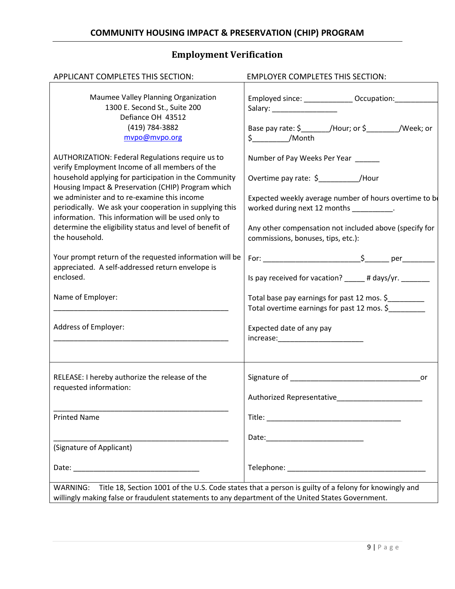# **Employment Verification**

<span id="page-10-0"></span>

| APPLICANT COMPLETES THIS SECTION:                                                                                                                                                                                                                                                                                                                                                                                                                               | <b>EMPLOYER COMPLETES THIS SECTION:</b>                                                                                                                                                                                                                                           |
|-----------------------------------------------------------------------------------------------------------------------------------------------------------------------------------------------------------------------------------------------------------------------------------------------------------------------------------------------------------------------------------------------------------------------------------------------------------------|-----------------------------------------------------------------------------------------------------------------------------------------------------------------------------------------------------------------------------------------------------------------------------------|
| Maumee Valley Planning Organization<br>1300 E. Second St., Suite 200<br>Defiance OH 43512<br>(419) 784-3882<br>mvpo@mvpo.org                                                                                                                                                                                                                                                                                                                                    | Employed since: ________________ Occupation:___________<br>Salary: ____________________<br>Base pay rate: \$________/Hour; or \$________/Week; or<br>$\frac{1}{2}$ /Month                                                                                                         |
| AUTHORIZATION: Federal Regulations require us to<br>verify Employment Income of all members of the<br>household applying for participation in the Community<br>Housing Impact & Preservation (CHIP) Program which<br>we administer and to re-examine this income<br>periodically. We ask your cooperation in supplying this<br>information. This information will be used only to<br>determine the eligibility status and level of benefit of<br>the household. | Number of Pay Weeks Per Year _____<br>Overtime pay rate: $\frac{2}{3}$ /Hour<br>Expected weekly average number of hours overtime to be<br>worked during next 12 months _________.<br>Any other compensation not included above (specify for<br>commissions, bonuses, tips, etc.): |
| Your prompt return of the requested information will be<br>appreciated. A self-addressed return envelope is<br>enclosed.                                                                                                                                                                                                                                                                                                                                        | Is pay received for vacation? # days/yr.                                                                                                                                                                                                                                          |
| Name of Employer:                                                                                                                                                                                                                                                                                                                                                                                                                                               | Total base pay earnings for past 12 mos. \$<br>Total overtime earnings for past 12 mos. \$                                                                                                                                                                                        |
| Address of Employer:                                                                                                                                                                                                                                                                                                                                                                                                                                            | Expected date of any pay<br>increase:_________________________                                                                                                                                                                                                                    |
| RELEASE: I hereby authorize the release of the<br>requested information:                                                                                                                                                                                                                                                                                                                                                                                        | Authorized Representative                                                                                                                                                                                                                                                         |
| <b>Printed Name</b>                                                                                                                                                                                                                                                                                                                                                                                                                                             |                                                                                                                                                                                                                                                                                   |
| (Signature of Applicant)                                                                                                                                                                                                                                                                                                                                                                                                                                        |                                                                                                                                                                                                                                                                                   |
|                                                                                                                                                                                                                                                                                                                                                                                                                                                                 |                                                                                                                                                                                                                                                                                   |
| WARNING: Title 18, Section 1001 of the U.S. Code states that a person is guilty of a felony for knowingly and<br>willingly making false or fraudulent statements to any department of the United States Government.                                                                                                                                                                                                                                             |                                                                                                                                                                                                                                                                                   |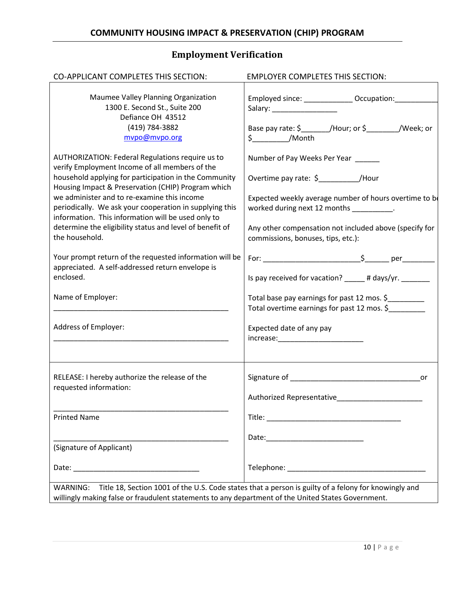# **Employment Verification**

<span id="page-11-0"></span>

| CO-APPLICANT COMPLETES THIS SECTION:                                                                                                                                                                                                                                                                                                                                                                                                                                   | <b>EMPLOYER COMPLETES THIS SECTION:</b>                                                                                                                                                                                                                                           |
|------------------------------------------------------------------------------------------------------------------------------------------------------------------------------------------------------------------------------------------------------------------------------------------------------------------------------------------------------------------------------------------------------------------------------------------------------------------------|-----------------------------------------------------------------------------------------------------------------------------------------------------------------------------------------------------------------------------------------------------------------------------------|
| Maumee Valley Planning Organization<br>1300 E. Second St., Suite 200<br>Defiance OH 43512<br>(419) 784-3882<br>mvpo@mvpo.org                                                                                                                                                                                                                                                                                                                                           | Employed since: _______________Occupation: ____________<br>Salary: _____________________<br>Base pay rate: \$________/Hour; or \$________/Week; or<br>$\frac{1}{2}$ /Month                                                                                                        |
| <b>AUTHORIZATION: Federal Regulations require us to</b><br>verify Employment Income of all members of the<br>household applying for participation in the Community<br>Housing Impact & Preservation (CHIP) Program which<br>we administer and to re-examine this income<br>periodically. We ask your cooperation in supplying this<br>information. This information will be used only to<br>determine the eligibility status and level of benefit of<br>the household. | Number of Pay Weeks Per Year _____<br>Overtime pay rate: \$____________/Hour<br>Expected weekly average number of hours overtime to be<br>worked during next 12 months _________.<br>Any other compensation not included above (specify for<br>commissions, bonuses, tips, etc.): |
| Your prompt return of the requested information will be<br>appreciated. A self-addressed return envelope is<br>enclosed.                                                                                                                                                                                                                                                                                                                                               | Is pay received for vacation? _____ # days/yr. ______                                                                                                                                                                                                                             |
| Name of Employer:                                                                                                                                                                                                                                                                                                                                                                                                                                                      | Total base pay earnings for past 12 mos. \$<br>Total overtime earnings for past 12 mos. \$                                                                                                                                                                                        |
| Address of Employer:                                                                                                                                                                                                                                                                                                                                                                                                                                                   | Expected date of any pay                                                                                                                                                                                                                                                          |
| RELEASE: I hereby authorize the release of the<br>requested information:                                                                                                                                                                                                                                                                                                                                                                                               | Authorized Representative                                                                                                                                                                                                                                                         |
| <b>Printed Name</b>                                                                                                                                                                                                                                                                                                                                                                                                                                                    |                                                                                                                                                                                                                                                                                   |
| (Signature of Applicant)                                                                                                                                                                                                                                                                                                                                                                                                                                               |                                                                                                                                                                                                                                                                                   |
|                                                                                                                                                                                                                                                                                                                                                                                                                                                                        |                                                                                                                                                                                                                                                                                   |
| WARNING: Title 18, Section 1001 of the U.S. Code states that a person is guilty of a felony for knowingly and<br>willingly making false or fraudulent statements to any department of the United States Government.                                                                                                                                                                                                                                                    |                                                                                                                                                                                                                                                                                   |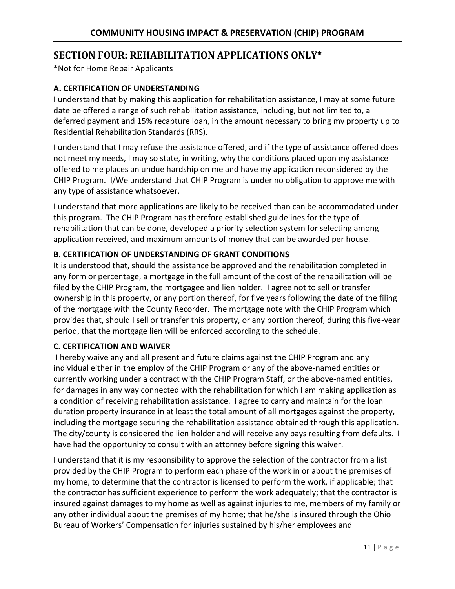# <span id="page-12-0"></span>**SECTION FOUR: REHABILITATION APPLICATIONS ONLY\***

\*Not for Home Repair Applicants

### **A. CERTIFICATION OF UNDERSTANDING**

I understand that by making this application for rehabilitation assistance, I may at some future date be offered a range of such rehabilitation assistance, including, but not limited to, a deferred payment and 15% recapture loan, in the amount necessary to bring my property up to Residential Rehabilitation Standards (RRS).

I understand that I may refuse the assistance offered, and if the type of assistance offered does not meet my needs, I may so state, in writing, why the conditions placed upon my assistance offered to me places an undue hardship on me and have my application reconsidered by the CHIP Program. I/We understand that CHIP Program is under no obligation to approve me with any type of assistance whatsoever.

I understand that more applications are likely to be received than can be accommodated under this program. The CHIP Program has therefore established guidelines for the type of rehabilitation that can be done, developed a priority selection system for selecting among application received, and maximum amounts of money that can be awarded per house.

## **B. CERTIFICATION OF UNDERSTANDING OF GRANT CONDITIONS**

It is understood that, should the assistance be approved and the rehabilitation completed in any form or percentage, a mortgage in the full amount of the cost of the rehabilitation will be filed by the CHIP Program, the mortgagee and lien holder. I agree not to sell or transfer ownership in this property, or any portion thereof, for five years following the date of the filing of the mortgage with the County Recorder. The mortgage note with the CHIP Program which provides that, should I sell or transfer this property, or any portion thereof, during this five-year period, that the mortgage lien will be enforced according to the schedule.

### **C. CERTIFICATION AND WAIVER**

I hereby waive any and all present and future claims against the CHIP Program and any individual either in the employ of the CHIP Program or any of the above-named entities or currently working under a contract with the CHIP Program Staff, or the above-named entities, for damages in any way connected with the rehabilitation for which I am making application as a condition of receiving rehabilitation assistance. I agree to carry and maintain for the loan duration property insurance in at least the total amount of all mortgages against the property, including the mortgage securing the rehabilitation assistance obtained through this application. The city/county is considered the lien holder and will receive any pays resulting from defaults. I have had the opportunity to consult with an attorney before signing this waiver.

I understand that it is my responsibility to approve the selection of the contractor from a list provided by the CHIP Program to perform each phase of the work in or about the premises of my home, to determine that the contractor is licensed to perform the work, if applicable; that the contractor has sufficient experience to perform the work adequately; that the contractor is insured against damages to my home as well as against injuries to me, members of my family or any other individual about the premises of my home; that he/she is insured through the Ohio Bureau of Workers' Compensation for injuries sustained by his/her employees and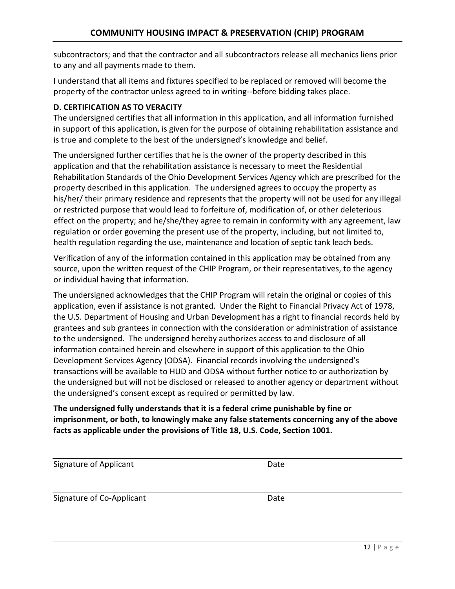subcontractors; and that the contractor and all subcontractors release all mechanics liens prior to any and all payments made to them.

I understand that all items and fixtures specified to be replaced or removed will become the property of the contractor unless agreed to in writing--before bidding takes place.

### **D. CERTIFICATION AS TO VERACITY**

The undersigned certifies that all information in this application, and all information furnished in support of this application, is given for the purpose of obtaining rehabilitation assistance and is true and complete to the best of the undersigned's knowledge and belief.

The undersigned further certifies that he is the owner of the property described in this application and that the rehabilitation assistance is necessary to meet the Residential Rehabilitation Standards of the Ohio Development Services Agency which are prescribed for the property described in this application. The undersigned agrees to occupy the property as his/her/ their primary residence and represents that the property will not be used for any illegal or restricted purpose that would lead to forfeiture of, modification of, or other deleterious effect on the property; and he/she/they agree to remain in conformity with any agreement, law regulation or order governing the present use of the property, including, but not limited to, health regulation regarding the use, maintenance and location of septic tank leach beds.

Verification of any of the information contained in this application may be obtained from any source, upon the written request of the CHIP Program, or their representatives, to the agency or individual having that information.

The undersigned acknowledges that the CHIP Program will retain the original or copies of this application, even if assistance is not granted. Under the Right to Financial Privacy Act of 1978, the U.S. Department of Housing and Urban Development has a right to financial records held by grantees and sub grantees in connection with the consideration or administration of assistance to the undersigned. The undersigned hereby authorizes access to and disclosure of all information contained herein and elsewhere in support of this application to the Ohio Development Services Agency (ODSA). Financial records involving the undersigned's transactions will be available to HUD and ODSA without further notice to or authorization by the undersigned but will not be disclosed or released to another agency or department without the undersigned's consent except as required or permitted by law.

## **The undersigned fully understands that it is a federal crime punishable by fine or imprisonment, or both, to knowingly make any false statements concerning any of the above facts as applicable under the provisions of Title 18, U.S. Code, Section 1001.**

| Signature of Applicant    | Date |
|---------------------------|------|
| Signature of Co-Applicant | Date |
|                           |      |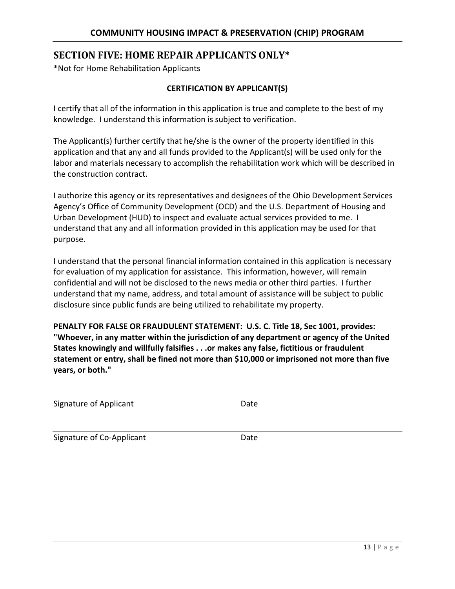# <span id="page-14-0"></span>**SECTION FIVE: HOME REPAIR APPLICANTS ONLY\***

\*Not for Home Rehabilitation Applicants

### **CERTIFICATION BY APPLICANT(S)**

I certify that all of the information in this application is true and complete to the best of my knowledge. I understand this information is subject to verification.

The Applicant(s) further certify that he/she is the owner of the property identified in this application and that any and all funds provided to the Applicant(s) will be used only for the labor and materials necessary to accomplish the rehabilitation work which will be described in the construction contract.

I authorize this agency or its representatives and designees of the Ohio Development Services Agency's Office of Community Development (OCD) and the U.S. Department of Housing and Urban Development (HUD) to inspect and evaluate actual services provided to me. I understand that any and all information provided in this application may be used for that purpose.

I understand that the personal financial information contained in this application is necessary for evaluation of my application for assistance. This information, however, will remain confidential and will not be disclosed to the news media or other third parties. I further understand that my name, address, and total amount of assistance will be subject to public disclosure since public funds are being utilized to rehabilitate my property.

**PENALTY FOR FALSE OR FRAUDULENT STATEMENT: U.S. C. Title 18, Sec 1001, provides: "Whoever, in any matter within the jurisdiction of any department or agency of the United States knowingly and willfully falsifies . . .or makes any false, fictitious or fraudulent statement or entry, shall be fined not more than \$10,000 or imprisoned not more than five years, or both."** 

| Signature of Applicant | Date |  |
|------------------------|------|--|

Signature of Co-Applicant **Date** Date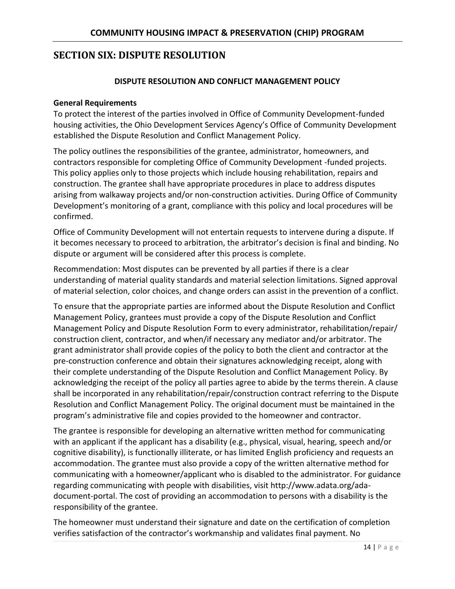# <span id="page-15-0"></span>**SECTION SIX: DISPUTE RESOLUTION**

### **DISPUTE RESOLUTION AND CONFLICT MANAGEMENT POLICY**

#### **General Requirements**

To protect the interest of the parties involved in Office of Community Development-funded housing activities, the Ohio Development Services Agency's Office of Community Development established the Dispute Resolution and Conflict Management Policy.

The policy outlines the responsibilities of the grantee, administrator, homeowners, and contractors responsible for completing Office of Community Development -funded projects. This policy applies only to those projects which include housing rehabilitation, repairs and construction. The grantee shall have appropriate procedures in place to address disputes arising from walkaway projects and/or non-construction activities. During Office of Community Development's monitoring of a grant, compliance with this policy and local procedures will be confirmed.

Office of Community Development will not entertain requests to intervene during a dispute. If it becomes necessary to proceed to arbitration, the arbitrator's decision is final and binding. No dispute or argument will be considered after this process is complete.

Recommendation: Most disputes can be prevented by all parties if there is a clear understanding of material quality standards and material selection limitations. Signed approval of material selection, color choices, and change orders can assist in the prevention of a conflict.

To ensure that the appropriate parties are informed about the Dispute Resolution and Conflict Management Policy, grantees must provide a copy of the Dispute Resolution and Conflict Management Policy and Dispute Resolution Form to every administrator, rehabilitation/repair/ construction client, contractor, and when/if necessary any mediator and/or arbitrator. The grant administrator shall provide copies of the policy to both the client and contractor at the pre-construction conference and obtain their signatures acknowledging receipt, along with their complete understanding of the Dispute Resolution and Conflict Management Policy. By acknowledging the receipt of the policy all parties agree to abide by the terms therein. A clause shall be incorporated in any rehabilitation/repair/construction contract referring to the Dispute Resolution and Conflict Management Policy. The original document must be maintained in the program's administrative file and copies provided to the homeowner and contractor.

The grantee is responsible for developing an alternative written method for communicating with an applicant if the applicant has a disability (e.g., physical, visual, hearing, speech and/or cognitive disability), is functionally illiterate, or has limited English proficiency and requests an accommodation. The grantee must also provide a copy of the written alternative method for communicating with a homeowner/applicant who is disabled to the administrator. For guidance regarding communicating with people with disabilities, visit http://www.adata.org/adadocument-portal. The cost of providing an accommodation to persons with a disability is the responsibility of the grantee.

The homeowner must understand their signature and date on the certification of completion verifies satisfaction of the contractor's workmanship and validates final payment. No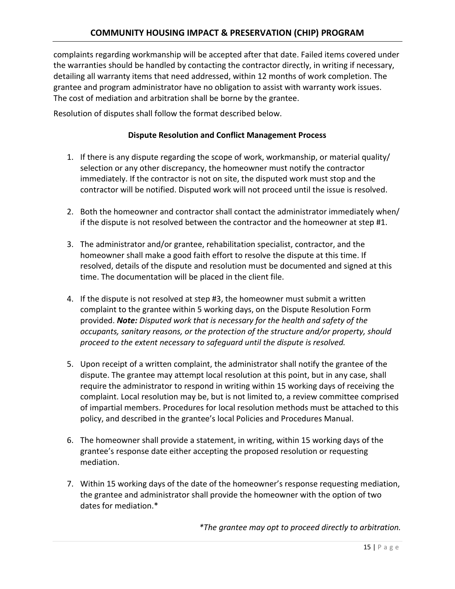complaints regarding workmanship will be accepted after that date. Failed items covered under the warranties should be handled by contacting the contractor directly, in writing if necessary, detailing all warranty items that need addressed, within 12 months of work completion. The grantee and program administrator have no obligation to assist with warranty work issues. The cost of mediation and arbitration shall be borne by the grantee.

Resolution of disputes shall follow the format described below.

### **Dispute Resolution and Conflict Management Process**

- 1. If there is any dispute regarding the scope of work, workmanship, or material quality/ selection or any other discrepancy, the homeowner must notify the contractor immediately. If the contractor is not on site, the disputed work must stop and the contractor will be notified. Disputed work will not proceed until the issue is resolved.
- 2. Both the homeowner and contractor shall contact the administrator immediately when/ if the dispute is not resolved between the contractor and the homeowner at step #1.
- 3. The administrator and/or grantee, rehabilitation specialist, contractor, and the homeowner shall make a good faith effort to resolve the dispute at this time. If resolved, details of the dispute and resolution must be documented and signed at this time. The documentation will be placed in the client file.
- 4. If the dispute is not resolved at step #3, the homeowner must submit a written complaint to the grantee within 5 working days, on the Dispute Resolution Form provided. *Note: Disputed work that is necessary for the health and safety of the occupants, sanitary reasons, or the protection of the structure and/or property, should proceed to the extent necessary to safeguard until the dispute is resolved.*
- 5. Upon receipt of a written complaint, the administrator shall notify the grantee of the dispute. The grantee may attempt local resolution at this point, but in any case, shall require the administrator to respond in writing within 15 working days of receiving the complaint. Local resolution may be, but is not limited to, a review committee comprised of impartial members. Procedures for local resolution methods must be attached to this policy, and described in the grantee's local Policies and Procedures Manual.
- 6. The homeowner shall provide a statement, in writing, within 15 working days of the grantee's response date either accepting the proposed resolution or requesting mediation.
- 7. Within 15 working days of the date of the homeowner's response requesting mediation, the grantee and administrator shall provide the homeowner with the option of two dates for mediation.\*

*\*The grantee may opt to proceed directly to arbitration.*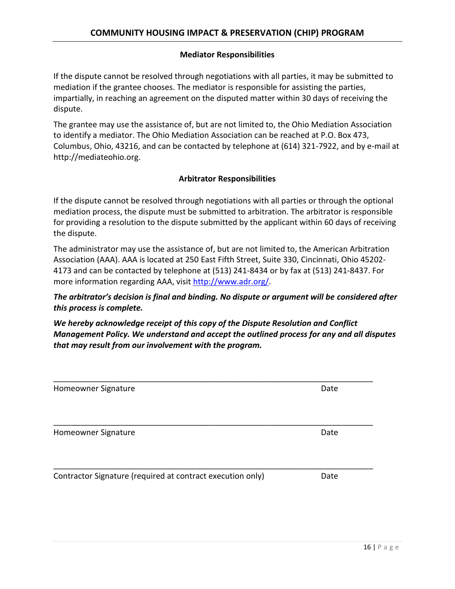#### **Mediator Responsibilities**

If the dispute cannot be resolved through negotiations with all parties, it may be submitted to mediation if the grantee chooses. The mediator is responsible for assisting the parties, impartially, in reaching an agreement on the disputed matter within 30 days of receiving the dispute.

The grantee may use the assistance of, but are not limited to, the Ohio Mediation Association to identify a mediator. The Ohio Mediation Association can be reached at P.O. Box 473, Columbus, Ohio, 43216, and can be contacted by telephone at (614) 321-7922, and by e-mail at http://mediateohio.org.

#### **Arbitrator Responsibilities**

If the dispute cannot be resolved through negotiations with all parties or through the optional mediation process, the dispute must be submitted to arbitration. The arbitrator is responsible for providing a resolution to the dispute submitted by the applicant within 60 days of receiving the dispute.

The administrator may use the assistance of, but are not limited to, the American Arbitration Association (AAA). AAA is located at 250 East Fifth Street, Suite 330, Cincinnati, Ohio 45202- 4173 and can be contacted by telephone at (513) 241-8434 or by fax at (513) 241-8437. For more information regarding AAA, visit http://www.adr.org/.

## *The arbitrator's decision is final and binding. No dispute or argument will be considered after this process is complete.*

*We hereby acknowledge receipt of this copy of the Dispute Resolution and Conflict Management Policy. We understand and accept the outlined process for any and all disputes that may result from our involvement with the program.*

| Homeowner Signature                                        | Date |
|------------------------------------------------------------|------|
|                                                            |      |
| Homeowner Signature                                        | Date |
|                                                            |      |
| Contractor Signature (required at contract execution only) | Date |